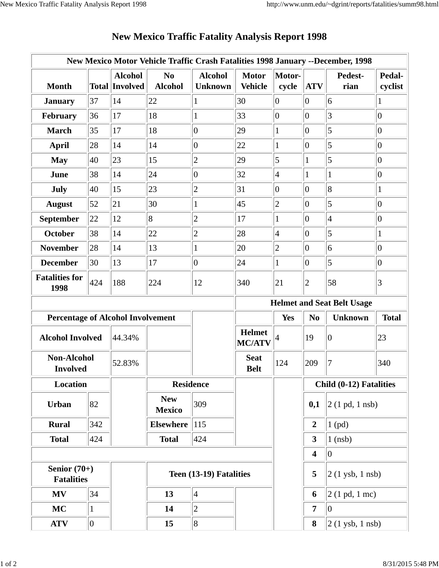| New Mexico Motor Vehicle Traffic Crash Fatalities 1998 January --December, 1998 |     |                                         |                                  |                                  |                                   |                 |                                                  |                                     |                   |
|---------------------------------------------------------------------------------|-----|-----------------------------------------|----------------------------------|----------------------------------|-----------------------------------|-----------------|--------------------------------------------------|-------------------------------------|-------------------|
| <b>Month</b>                                                                    |     | <b>Alcohol</b><br><b>Total Involved</b> | N <sub>0</sub><br><b>Alcohol</b> | <b>Alcohol</b><br><b>Unknown</b> | <b>Motor</b><br><b>Vehicle</b>    | Motor-<br>cycle | <b>ATV</b>                                       | Pedest-<br>rian                     | Pedal-<br>cyclist |
| <b>January</b>                                                                  | 37  | 14                                      | 22                               | 1                                | 30                                | 0               | 0                                                | 6                                   | 1                 |
| February                                                                        | 36  | 17                                      | 18                               | 1                                | 33                                | 10              | 0                                                | 3                                   | $\overline{0}$    |
| <b>March</b>                                                                    | 35  | 17                                      | 18                               | $ 0\rangle$                      | 29                                | 1               | 0                                                | 5                                   | $\overline{0}$    |
| <b>April</b>                                                                    | 28  | 14                                      | 14                               | $ 0\rangle$                      | 22                                | $\mathbf{1}$    | $ 0\rangle$                                      | 5                                   | $\overline{0}$    |
| <b>May</b>                                                                      | 40  | 23                                      | 15                               | $\overline{c}$                   | 29                                | $\overline{5}$  | 1                                                | 5                                   | $\overline{0}$    |
| June                                                                            | 38  | 14                                      | 24                               | $ 0\rangle$                      | 32                                | $\vert 4$       | 1                                                | $\mathbf{1}$                        | $\vert 0 \vert$   |
| July                                                                            | 40  | 15                                      | 23                               | $ 2\rangle$                      | 31                                | $ 0\rangle$     | 10                                               | $\overline{8}$                      | 1                 |
| <b>August</b>                                                                   | 52  | 21                                      | 30                               | 1                                | 45                                | $ 2\rangle$     | 10                                               | 5                                   | $\overline{0}$    |
| September                                                                       | 22  | 12                                      | 8                                | $\overline{2}$                   | 17                                | $\mathbf{1}$    | 10                                               | $\vert 4 \vert$                     | $\overline{0}$    |
| October                                                                         | 38  | 14                                      | 22                               | $\overline{2}$                   | 28                                | 4               | 0                                                | 5                                   | 1                 |
| <b>November</b>                                                                 | 28  | 14                                      | 13                               | $\mathbf{1}$                     | 20                                | $ 2\rangle$     | $ 0\rangle$                                      | 6                                   | $\vert 0 \vert$   |
| <b>December</b>                                                                 | 30  | 13                                      | 17                               | $ 0\rangle$                      | 24                                | 1               | 10                                               | 5                                   | $\overline{0}$    |
| <b>Fatalities for</b><br>1998                                                   | 424 | 188                                     | 224                              | 12                               | 340                               | 21              | $ 2\rangle$                                      | 58                                  | $\vert 3 \vert$   |
|                                                                                 |     |                                         |                                  |                                  | <b>Helmet and Seat Belt Usage</b> |                 |                                                  |                                     |                   |
| <b>Percentage of Alcohol Involvement</b>                                        |     |                                         |                                  |                                  |                                   | Yes             | <b>Unknown</b><br><b>Total</b><br>N <sub>0</sub> |                                     |                   |
| <b>Alcohol Involved</b>                                                         |     | 44.34%                                  |                                  |                                  | <b>Helmet</b><br><b>MC/ATV</b>    | 4               | 19                                               | $ 0\rangle$                         | 23                |
| <b>Non-Alcohol</b><br><b>Involved</b>                                           |     | 52.83%                                  |                                  |                                  | <b>Seat</b><br><b>Belt</b>        | 124             | 209                                              | 7                                   | 340               |
| Location                                                                        |     |                                         | <b>Residence</b>                 |                                  |                                   |                 | Child (0-12) Fatalities                          |                                     |                   |
| Urban                                                                           | 82  |                                         | <b>New</b><br><b>Mexico</b>      | 309                              |                                   |                 | 0,1                                              | $2(1 \text{ pd}, 1 \text{ nsb})$    |                   |
| <b>Rural</b>                                                                    | 342 |                                         | <b>Elsewhere</b>                 | 115                              |                                   |                 | $\boldsymbol{2}$                                 | $1$ (pd)                            |                   |
| <b>Total</b>                                                                    | 424 |                                         | <b>Total</b>                     | 424                              |                                   |                 | $\mathbf{3}$                                     | $1$ (nsb)                           |                   |
|                                                                                 |     |                                         |                                  |                                  |                                   |                 | $\overline{\mathbf{4}}$                          | 0                                   |                   |
| Senior $(70+)$<br><b>Fatalities</b>                                             |     |                                         | Teen (13-19) Fatalities          |                                  |                                   |                 | 5                                                | $ 2(1 \text{ ysb}, 1 \text{ nsb}) $ |                   |
| <b>MV</b>                                                                       | 34  |                                         | 13                               | $\vert 4 \vert$                  |                                   |                 | 6                                                | $ 2(1 \text{ pd}, 1 \text{ mc}) $   |                   |
| MC                                                                              | 1   |                                         | 14                               | $ 2\rangle$                      |                                   |                 | $\overline{7}$                                   | 10                                  |                   |
| <b>ATV</b>                                                                      | 0   |                                         | 15                               | 8                                |                                   |                 | 8                                                | $2(1$ ysb, $1$ nsb)                 |                   |

## **New Mexico Traffic Fatality Analysis Report 1998**